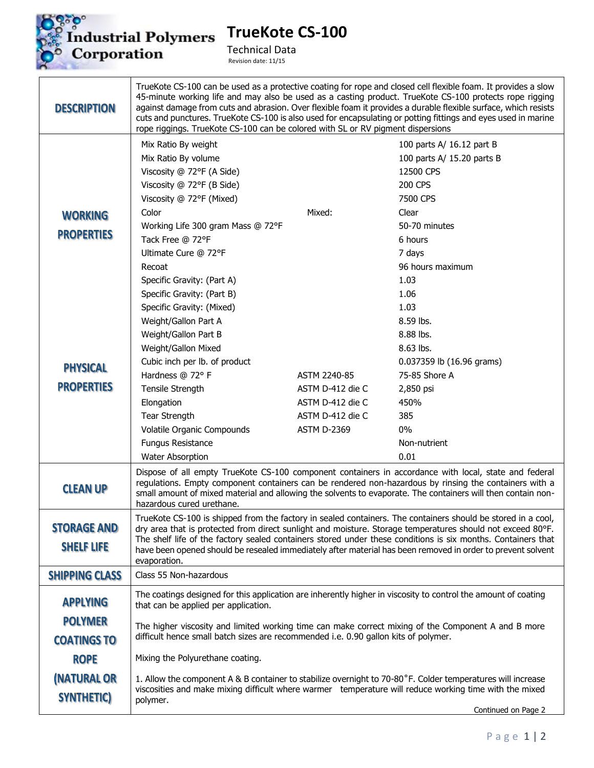

**TrueKote CS-100**

Technical Data Revision date: 11/15

| <b>DESCRIPTION</b>               | TrueKote CS-100 can be used as a protective coating for rope and closed cell flexible foam. It provides a slow<br>45-minute working life and may also be used as a casting product. TrueKote CS-100 protects rope rigging<br>against damage from cuts and abrasion. Over flexible foam it provides a durable flexible surface, which resists<br>cuts and punctures. TrueKote CS-100 is also used for encapsulating or potting fittings and eyes used in marine<br>rope riggings. TrueKote CS-100 can be colored with SL or RV pigment dispersions |                    |                            |  |
|----------------------------------|---------------------------------------------------------------------------------------------------------------------------------------------------------------------------------------------------------------------------------------------------------------------------------------------------------------------------------------------------------------------------------------------------------------------------------------------------------------------------------------------------------------------------------------------------|--------------------|----------------------------|--|
|                                  | Mix Ratio By weight                                                                                                                                                                                                                                                                                                                                                                                                                                                                                                                               |                    | 100 parts A/ 16.12 part B  |  |
|                                  | Mix Ratio By volume                                                                                                                                                                                                                                                                                                                                                                                                                                                                                                                               |                    | 100 parts A/ 15.20 parts B |  |
|                                  | Viscosity @ 72°F (A Side)                                                                                                                                                                                                                                                                                                                                                                                                                                                                                                                         |                    | 12500 CPS                  |  |
|                                  | Viscosity @ 72°F (B Side)                                                                                                                                                                                                                                                                                                                                                                                                                                                                                                                         |                    | 200 CPS                    |  |
|                                  | Viscosity @ 72°F (Mixed)                                                                                                                                                                                                                                                                                                                                                                                                                                                                                                                          |                    | 7500 CPS                   |  |
| <b>WORKING</b>                   | Color                                                                                                                                                                                                                                                                                                                                                                                                                                                                                                                                             | Mixed:             | Clear                      |  |
| <b>PROPERTIES</b>                | Working Life 300 gram Mass @ 72°F                                                                                                                                                                                                                                                                                                                                                                                                                                                                                                                 |                    | 50-70 minutes              |  |
|                                  | Tack Free @ 72°F                                                                                                                                                                                                                                                                                                                                                                                                                                                                                                                                  |                    | 6 hours                    |  |
|                                  | Ultimate Cure @ 72°F                                                                                                                                                                                                                                                                                                                                                                                                                                                                                                                              |                    | 7 days                     |  |
|                                  | Recoat                                                                                                                                                                                                                                                                                                                                                                                                                                                                                                                                            |                    | 96 hours maximum           |  |
|                                  | Specific Gravity: (Part A)                                                                                                                                                                                                                                                                                                                                                                                                                                                                                                                        |                    | 1.03                       |  |
|                                  | Specific Gravity: (Part B)                                                                                                                                                                                                                                                                                                                                                                                                                                                                                                                        |                    | 1.06                       |  |
|                                  | Specific Gravity: (Mixed)                                                                                                                                                                                                                                                                                                                                                                                                                                                                                                                         |                    | 1.03                       |  |
|                                  | Weight/Gallon Part A                                                                                                                                                                                                                                                                                                                                                                                                                                                                                                                              |                    | 8.59 lbs.                  |  |
|                                  | Weight/Gallon Part B                                                                                                                                                                                                                                                                                                                                                                                                                                                                                                                              |                    | 8.88 lbs.                  |  |
|                                  | Weight/Gallon Mixed                                                                                                                                                                                                                                                                                                                                                                                                                                                                                                                               |                    | 8.63 lbs.                  |  |
| <b>PHYSICAL</b>                  | Cubic inch per lb. of product                                                                                                                                                                                                                                                                                                                                                                                                                                                                                                                     |                    | 0.037359 lb (16.96 grams)  |  |
|                                  | Hardness @ 72° F                                                                                                                                                                                                                                                                                                                                                                                                                                                                                                                                  | ASTM 2240-85       | 75-85 Shore A              |  |
| <b>PROPERTIES</b>                | Tensile Strength                                                                                                                                                                                                                                                                                                                                                                                                                                                                                                                                  | ASTM D-412 die C   | 2,850 psi                  |  |
|                                  | Elongation                                                                                                                                                                                                                                                                                                                                                                                                                                                                                                                                        | ASTM D-412 die C   | 450%                       |  |
|                                  | Tear Strength                                                                                                                                                                                                                                                                                                                                                                                                                                                                                                                                     | ASTM D-412 die C   | 385                        |  |
|                                  | Volatile Organic Compounds                                                                                                                                                                                                                                                                                                                                                                                                                                                                                                                        | <b>ASTM D-2369</b> | $0\%$                      |  |
|                                  | <b>Fungus Resistance</b>                                                                                                                                                                                                                                                                                                                                                                                                                                                                                                                          |                    | Non-nutrient               |  |
|                                  | <b>Water Absorption</b>                                                                                                                                                                                                                                                                                                                                                                                                                                                                                                                           |                    | 0.01                       |  |
| <b>CLEAN UP</b>                  | Dispose of all empty TrueKote CS-100 component containers in accordance with local, state and federal<br>regulations. Empty component containers can be rendered non-hazardous by rinsing the containers with a<br>small amount of mixed material and allowing the solvents to evaporate. The containers will then contain non-<br>hazardous cured urethane.                                                                                                                                                                                      |                    |                            |  |
|                                  | TrueKote CS-100 is shipped from the factory in sealed containers. The containers should be stored in a cool,                                                                                                                                                                                                                                                                                                                                                                                                                                      |                    |                            |  |
| <b>STORAGE AND</b>               | dry area that is protected from direct sunlight and moisture. Storage temperatures should not exceed 80°F.<br>The shelf life of the factory sealed containers stored under these conditions is six months. Containers that                                                                                                                                                                                                                                                                                                                        |                    |                            |  |
| <b>SHELF LIFE</b>                | have been opened should be resealed immediately after material has been removed in order to prevent solvent<br>evaporation.                                                                                                                                                                                                                                                                                                                                                                                                                       |                    |                            |  |
| <b>SHIPPING CLASS</b>            | Class 55 Non-hazardous                                                                                                                                                                                                                                                                                                                                                                                                                                                                                                                            |                    |                            |  |
| <b>APPLYING</b>                  | The coatings designed for this application are inherently higher in viscosity to control the amount of coating<br>that can be applied per application.                                                                                                                                                                                                                                                                                                                                                                                            |                    |                            |  |
| <b>POLYMER</b>                   |                                                                                                                                                                                                                                                                                                                                                                                                                                                                                                                                                   |                    |                            |  |
| <b>COATINGS TO</b>               | The higher viscosity and limited working time can make correct mixing of the Component A and B more<br>difficult hence small batch sizes are recommended i.e. 0.90 gallon kits of polymer.                                                                                                                                                                                                                                                                                                                                                        |                    |                            |  |
| <b>ROPE</b>                      | Mixing the Polyurethane coating.                                                                                                                                                                                                                                                                                                                                                                                                                                                                                                                  |                    |                            |  |
| (NATURAL OR<br><b>SYNTHETIC)</b> | 1. Allow the component A & B container to stabilize overnight to 70-80°F. Colder temperatures will increase<br>viscosities and make mixing difficult where warmer temperature will reduce working time with the mixed<br>polymer.                                                                                                                                                                                                                                                                                                                 |                    |                            |  |
|                                  |                                                                                                                                                                                                                                                                                                                                                                                                                                                                                                                                                   |                    | Continued on Page 2        |  |